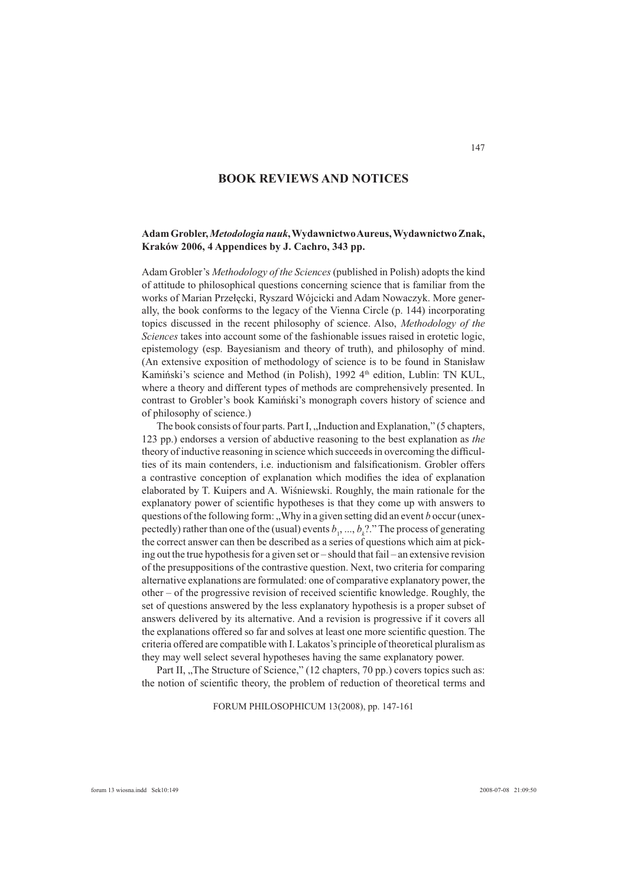# **BOOK REVIEWS AND NOTICES**

## **Adam Grobler,** *Metodologia nauk***, Wydawnictwo Aureus, Wydawnictwo Znak, Kraków 2006, 4 Appendices by J. Cachro, 343 pp.**

Adam Grobler's *Methodology of the Sciences* (published in Polish) adopts the kind of attitude to philosophical questions concerning science that is familiar from the works of Marian Przełęcki, Ryszard Wójcicki and Adam Nowaczyk. More generally, the book conforms to the legacy of the Vienna Circle (p. 144) incorporating topics discussed in the recent philosophy of science. Also, *Methodology of the Sciences* takes into account some of the fashionable issues raised in erotetic logic, epistemology (esp. Bayesianism and theory of truth), and philosophy of mind. (An extensive exposition of methodology of science is to be found in Stanisław Kamiński's science and Method (in Polish), 1992 4<sup>th</sup> edition, Lublin: TN KUL, where a theory and different types of methods are comprehensively presented. In contrast to Grobler's book Kamiński's monograph covers history of science and of philosophy of science.)

The book consists of four parts. Part I, "Induction and Explanation," (5 chapters, 123 pp.) endorses a version of abductive reasoning to the best explanation as *the* theory of inductive reasoning in science which succeeds in overcoming the difficulties of its main contenders, i.e. inductionism and falsificationism. Grobler offers a contrastive conception of explanation which modifies the idea of explanation elaborated by T. Kuipers and A. Wiśniewski. Roughly, the main rationale for the explanatory power of scientific hypotheses is that they come up with answers to questions of the following form: "Why in a given setting did an event *b* occur (unexpectedly) rather than one of the (usual) events  $b_1$ , ...,  $b_k$ ?." The process of generating the correct answer can then be described as a series of questions which aim at picking out the true hypothesis for a given set or – should that fail – an extensive revision of the presuppositions of the contrastive question. Next, two criteria for comparing alternative explanations are formulated: one of comparative explanatory power, the  $other - of the progressive revision of received scientific knowledge. Roughly, the$ set of questions answered by the less explanatory hypothesis is a proper subset of answers delivered by its alternative. And a revision is progressive if it covers all the explanations offered so far and solves at least one more scientific question. The criteria offered are compatible with I. Lakatos's principle of theoretical pluralism as they may well select several hypotheses having the same explanatory power.

Part II, "The Structure of Science," (12 chapters, 70 pp.) covers topics such as: the notion of scientific theory, the problem of reduction of theoretical terms and

FORUM PHILOSOPHICUM 13(2008), pp. 147-161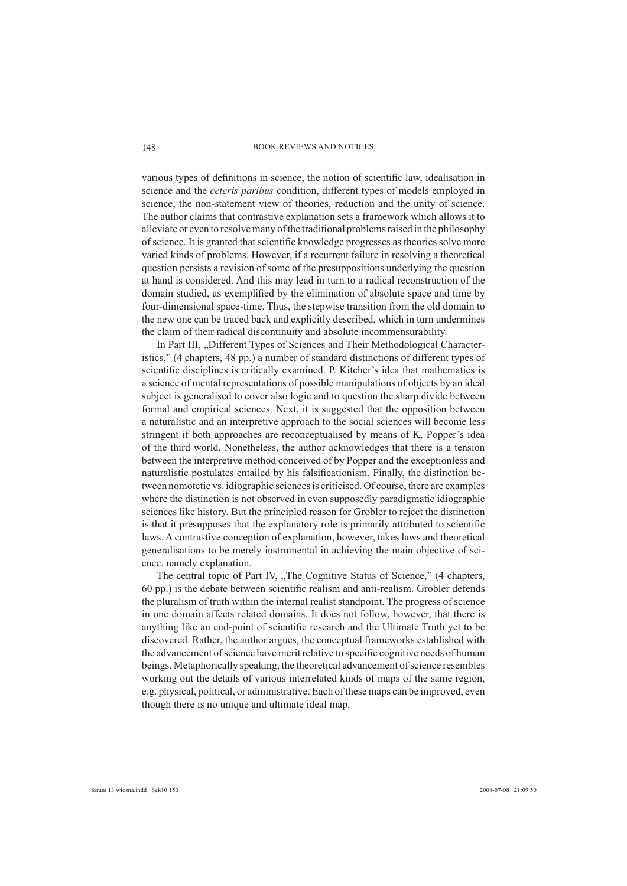#### BOOK REVIEWS AND NOTICES

various types of definitions in science, the notion of scientific law, idealisation in science and the *ceteris paribus* condition, different types of models employed in science, the non-statement view of theories, reduction and the unity of science. The author claims that contrastive explanation sets a framework which allows it to alleviate or even to resolve many of the traditional problems raised in the philosophy of science. It is granted that scientific knowledge progresses as theories solve more varied kinds of problems. However, if a recurrent failure in resolving a theoretical question persists a revision of some of the presuppositions underlying the question at hand is considered. And this may lead in turn to a radical reconstruction of the domain studied, as exemplified by the elimination of absolute space and time by four-dimensional space-time. Thus, the stepwise transition from the old domain to the new one can be traced back and explicitly described, which in turn undermines the claim of their radical discontinuity and absolute incommensurability.

In Part III, "Different Types of Sciences and Their Methodological Characteristics," (4 chapters, 48 pp.) a number of standard distinctions of different types of scientific disciplines is critically examined. P. Kitcher's idea that mathematics is a science of mental representations of possible manipulations of objects by an ideal subject is generalised to cover also logic and to question the sharp divide between formal and empirical sciences. Next, it is suggested that the opposition between a naturalistic and an interpretive approach to the social sciences will become less stringent if both approaches are reconceptualised by means of K. Popper's idea of the third world. Nonetheless, the author acknowledges that there is a tension between the interpretive method conceived of by Popper and the exceptionless and naturalistic postulates entailed by his falsificationism. Finally, the distinction between nomotetic vs. idiographic sciences is criticised. Of course, there are examples where the distinction is not observed in even supposedly paradigmatic idiographic sciences like history. But the principled reason for Grobler to reject the distinction is that it presupposes that the explanatory role is primarily attributed to scientific laws. A contrastive conception of explanation, however, takes laws and theoretical generalisations to be merely instrumental in achieving the main objective of science, namely explanation.

The central topic of Part IV, ...The Cognitive Status of Science," (4 chapters, 60 pp.) is the debate between scientific realism and anti-realism. Grobler defends the pluralism of truth within the internal realist standpoint. The progress of science in one domain affects related domains. It does not follow, however, that there is anything like an end-point of scientific research and the Ultimate Truth yet to be discovered. Rather, the author argues, the conceptual frameworks established with the advancement of science have merit relative to specific cognitive needs of human beings. Metaphorically speaking, the theoretical advancement of science resembles working out the details of various interrelated kinds of maps of the same region, e.g. physical, political, or administrative. Each of these maps can be improved, even though there is no unique and ultimate ideal map.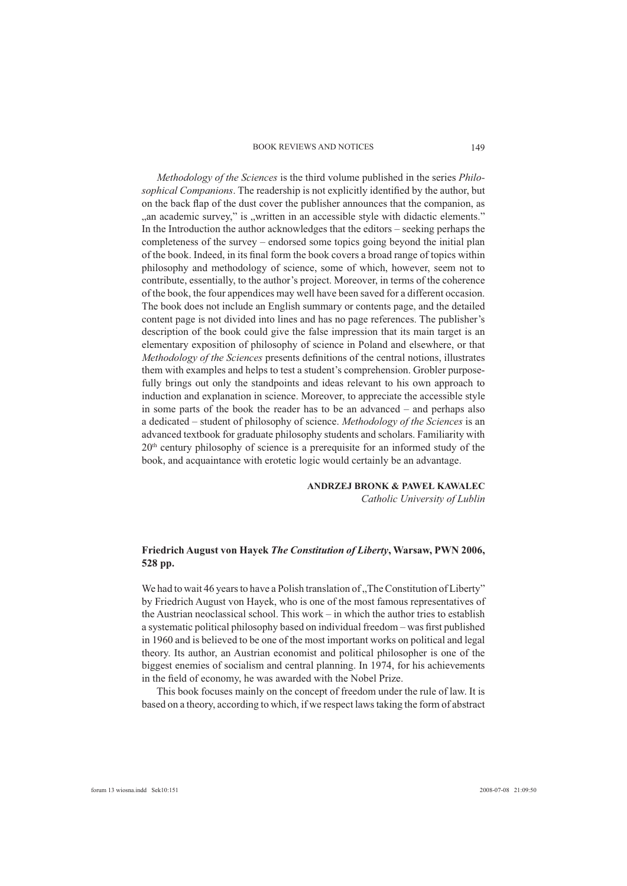#### BOOK REVIEWS AND NOTICES

*Methodology of the Sciences* is the third volume published in the series *Philosophical Companions*. The readership is not explicitly identified by the author, but on the back flap of the dust cover the publisher announces that the companion, as "an academic survey," is "written in an accessible style with didactic elements." In the Introduction the author acknowledges that the editors – seeking perhaps the completeness of the survey – endorsed some topics going beyond the initial plan of the book. Indeed, in its final form the book covers a broad range of topics within philosophy and methodology of science, some of which, however, seem not to contribute, essentially, to the author's project. Moreover, in terms of the coherence of the book, the four appendices may well have been saved for a different occasion. The book does not include an English summary or contents page, and the detailed content page is not divided into lines and has no page references. The publisher's description of the book could give the false impression that its main target is an elementary exposition of philosophy of science in Poland and elsewhere, or that *Methodology of the Sciences* presents definitions of the central notions, illustrates them with examples and helps to test a student's comprehension. Grobler purposefully brings out only the standpoints and ideas relevant to his own approach to induction and explanation in science. Moreover, to appreciate the accessible style in some parts of the book the reader has to be an advanced – and perhaps also a dedicated – student of philosophy of science. *Methodology of the Sciences* is an advanced textbook for graduate philosophy students and scholars. Familiarity with  $20<sup>th</sup>$  century philosophy of science is a prerequisite for an informed study of the book, and acquaintance with erotetic logic would certainly be an advantage.

### **ANDRZEJ BRONK & PAWEŁ KAWALEC**

*Catholic University of Lublin*

### **Friedrich August von Hayek** *The Constitution of Liberty***, Warsaw, PWN 2006, 528 pp.**

We had to wait 46 years to have a Polish translation of "The Constitution of Liberty" by Friedrich August von Hayek, who is one of the most famous representatives of the Austrian neoclassical school. This work – in which the author tries to establish a systematic political philosophy based on individual freedom – was first published in 1960 and is believed to be one of the most important works on political and legal theory. Its author, an Austrian economist and political philosopher is one of the biggest enemies of socialism and central planning. In 1974, for his achievements in the field of economy, he was awarded with the Nobel Prize.

This book focuses mainly on the concept of freedom under the rule of law. It is based on a theory, according to which, if we respect laws taking the form of abstract